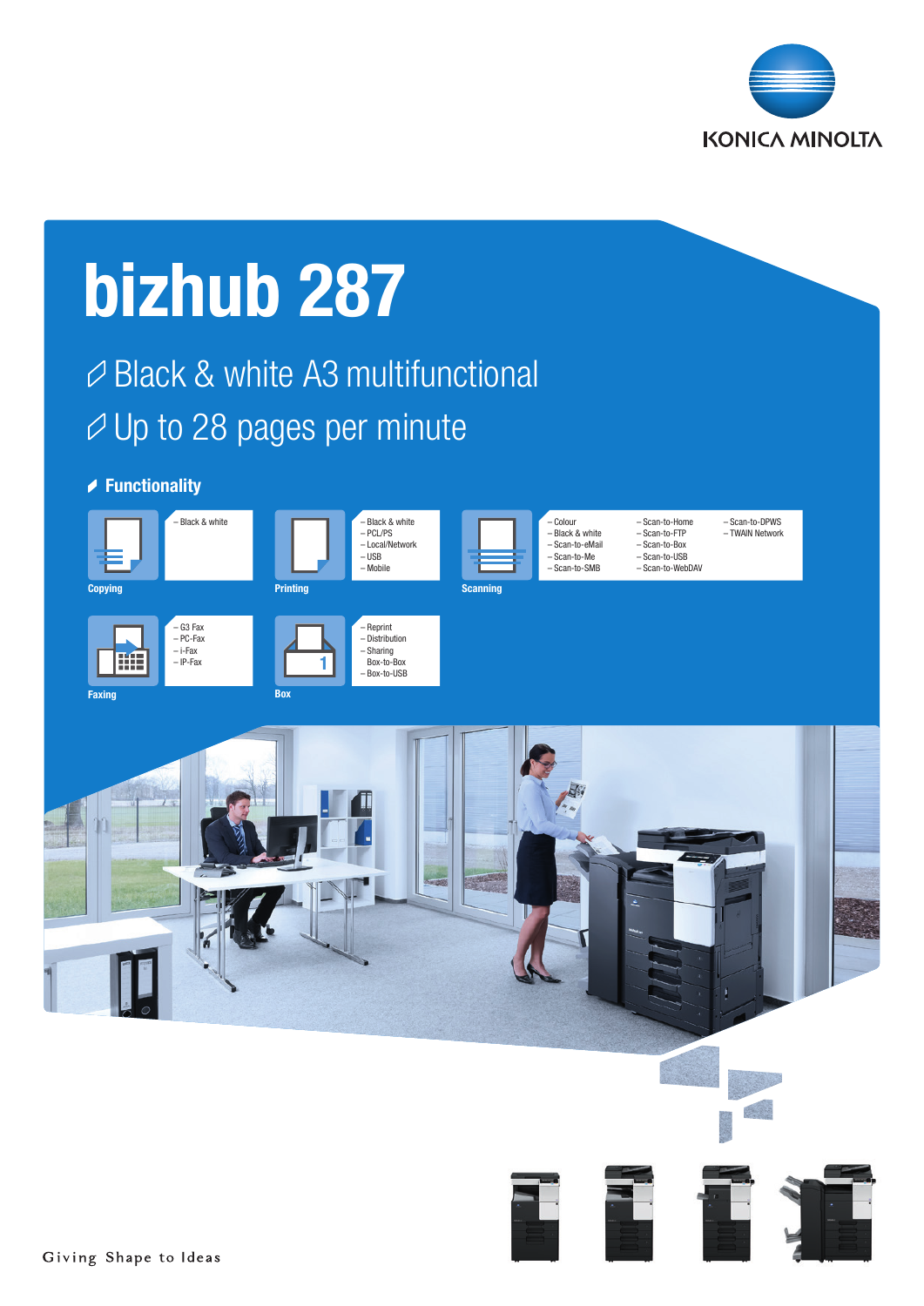

# bizhub 287 Black & white A3 multifunctional  $\varnothing$  Up to 28 pages per minute **▶ Functionality** – Black & white – Black & white – Colour – Scan-to-Home – Scan-to-DPWS – Black & white – PCL/PS – Scan-to-FTP – TWAIN Network– Local/Network – Scan-to-eMail – Scan-to-Box – USB – Scan-to-USB – Scan-to-Me – Scan-to-SMB – Mobile – Scan-to-WebDAV **Printing** Copying Scanning Scanning Scanning Scanning Scanning Scanning Scanning Scanning Scanning – G3 Fax – Reprint – PC-Fax – Distribution – Sharing – i-Fax 睡 – IP-Fax Box-to-Box 1 – Box-to-USB **Faxing Roy**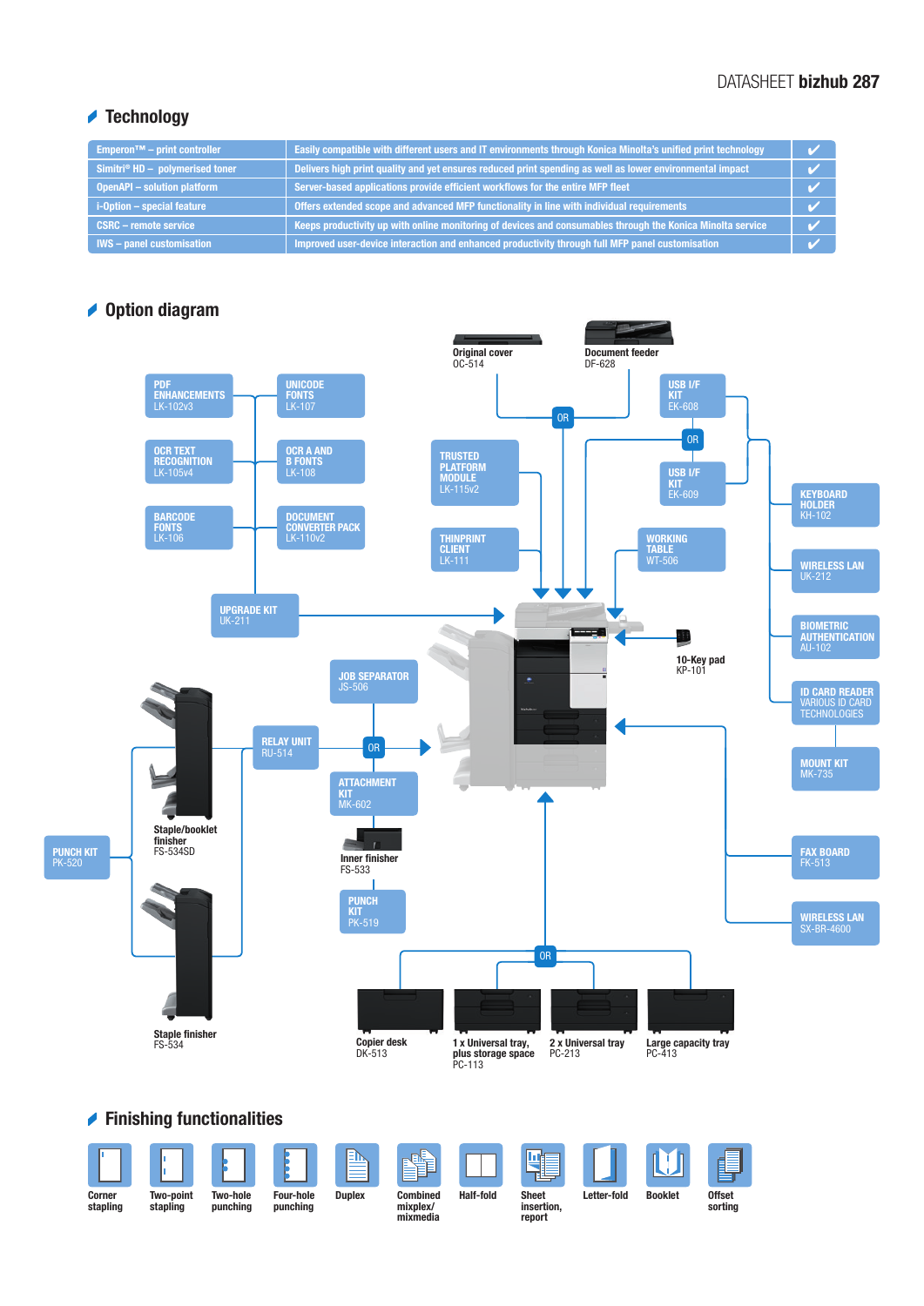## DATASHEET bizhub 287

## **★ Technology**

| Emperon <sup><math>TM</math></sup> – print controller | Easily compatible with different users and IT environments through Konica Minolta's unified print technology |  |
|-------------------------------------------------------|--------------------------------------------------------------------------------------------------------------|--|
| Simitri® $HD -$ polymerised toner                     | Delivers high print quality and yet ensures reduced print spending as well as lower environmental impact     |  |
| <b>OpenAPI - solution platform</b>                    | Server-based applications provide efficient workflows for the entire MFP fleet                               |  |
| i-Option - special feature                            | Offers extended scope and advanced MFP functionality in line with individual requirements                    |  |
| <b>CSRC - remote service</b>                          | Keeps productivity up with online monitoring of devices and consumables through the Konica Minolta service   |  |
| <b>IWS</b> – panel customisation                      | Improved user-device interaction and enhanced productivity through full MFP panel customisation              |  |

## **◆ Option diagram**



## Finishing functionalities

|                    |                       |                             |                              | <b>EN</b>     | E<br>ol:                                |                  |                                      |             |                |                          |
|--------------------|-----------------------|-----------------------------|------------------------------|---------------|-----------------------------------------|------------------|--------------------------------------|-------------|----------------|--------------------------|
| Corner<br>stapling | Two-point<br>stapling | <b>Two-hole</b><br>punching | <b>Four-hole</b><br>punching | <b>Duplex</b> | <b>Combined</b><br>mixplex/<br>mixmedia | <b>Half-fold</b> | <b>Sheet</b><br>insertion,<br>report | Letter-fold | <b>Booklet</b> | <b>Offset</b><br>sorting |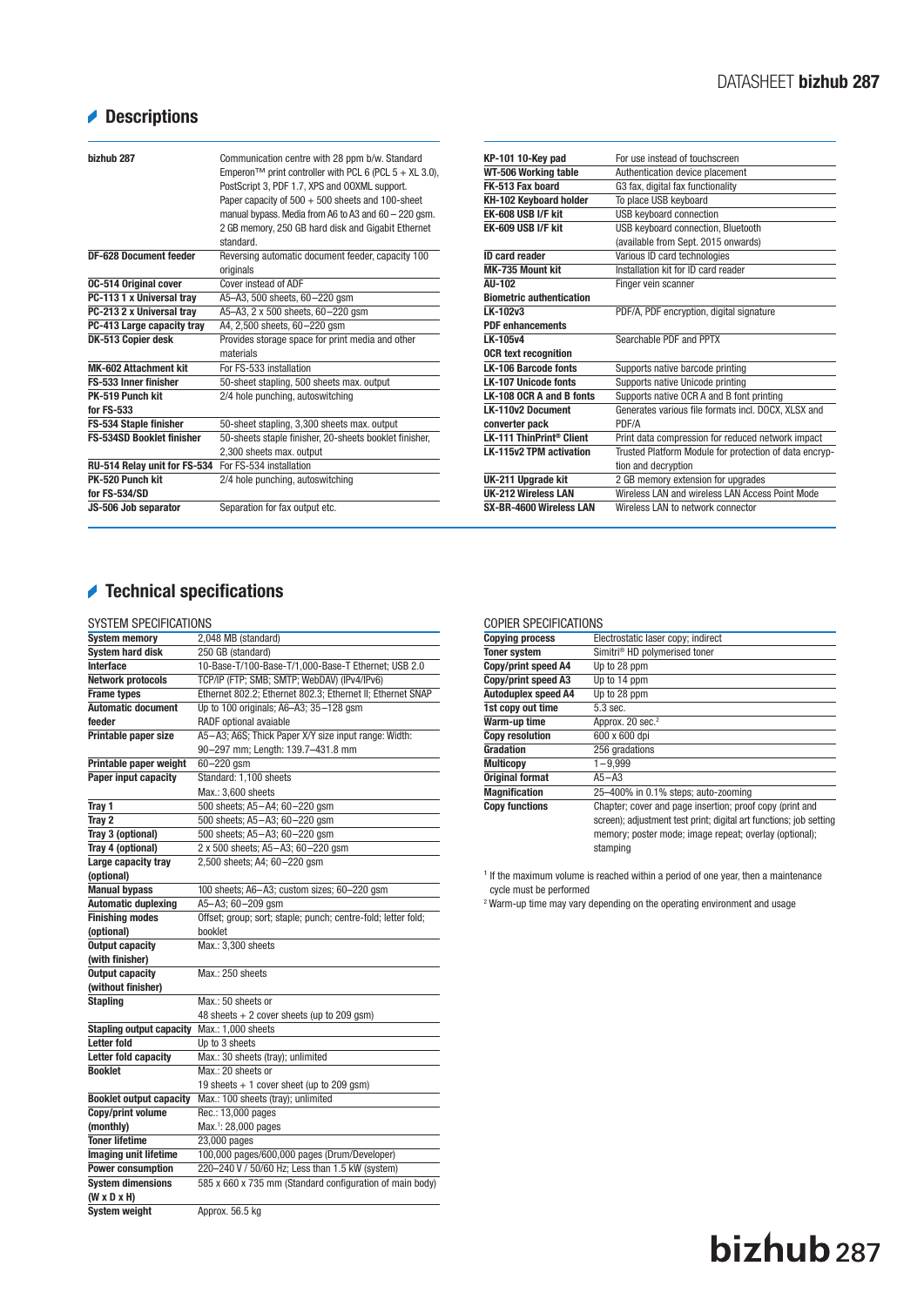# Descriptions

| bizhub 287                       | Communication centre with 28 ppm b/w. Standard<br>Emperon <sup>™</sup> print controller with PCL 6 (PCL $5 + XL$ 3.0),<br>PostScript 3, PDF 1.7, XPS and OOXML support.<br>Paper capacity of 500 + 500 sheets and 100-sheet<br>manual bypass. Media from A6 to A3 and 60 - 220 gsm.<br>2 GB memory, 250 GB hard disk and Gigabit Ethernet<br>standard |
|----------------------------------|-------------------------------------------------------------------------------------------------------------------------------------------------------------------------------------------------------------------------------------------------------------------------------------------------------------------------------------------------------|
| <b>DF-628 Document feeder</b>    | Reversing automatic document feeder, capacity 100<br>originals                                                                                                                                                                                                                                                                                        |
| <b>0C-514 Original cover</b>     | Cover instead of ADF                                                                                                                                                                                                                                                                                                                                  |
| PC-113 1 x Universal tray        | A5-A3, 500 sheets, 60-220 gsm                                                                                                                                                                                                                                                                                                                         |
| PC-213 2 x Universal tray        | A5-A3, 2 x 500 sheets, 60-220 qsm                                                                                                                                                                                                                                                                                                                     |
| PC-413 Large capacity tray       | A4, 2,500 sheets, 60-220 qsm                                                                                                                                                                                                                                                                                                                          |
| DK-513 Copier desk               | Provides storage space for print media and other<br>materials                                                                                                                                                                                                                                                                                         |
| <b>MK-602 Attachment kit</b>     | For FS-533 installation                                                                                                                                                                                                                                                                                                                               |
| FS-533 Inner finisher            | 50-sheet stapling, 500 sheets max. output                                                                                                                                                                                                                                                                                                             |
| PK-519 Punch kit<br>for FS-533   | 2/4 hole punching, autoswitching                                                                                                                                                                                                                                                                                                                      |
| <b>FS-534 Staple finisher</b>    | 50-sheet stapling, 3,300 sheets max. output                                                                                                                                                                                                                                                                                                           |
| <b>FS-534SD Booklet finisher</b> | 50-sheets staple finisher, 20-sheets booklet finisher,                                                                                                                                                                                                                                                                                                |
|                                  | 2,300 sheets max. output                                                                                                                                                                                                                                                                                                                              |
| RU-514 Relay unit for FS-534     | For FS-534 installation                                                                                                                                                                                                                                                                                                                               |
| PK-520 Punch kit                 | 2/4 hole punching, autoswitching                                                                                                                                                                                                                                                                                                                      |
| for FS-534/SD                    |                                                                                                                                                                                                                                                                                                                                                       |
| JS-506 Job separator             | Separation for fax output etc.                                                                                                                                                                                                                                                                                                                        |

| KP-101 10-Key pad                    | For use instead of touchscreen                         |
|--------------------------------------|--------------------------------------------------------|
| WT-506 Working table                 | Authentication device placement                        |
| FK-513 Fax board                     | G3 fax, digital fax functionality                      |
| KH-102 Keyboard holder               | To place USB keyboard                                  |
| EK-608 USB I/F kit                   | <b>USB keyboard connection</b>                         |
| EK-609 USB I/F kit                   | USB keyboard connection, Bluetooth                     |
|                                      | (available from Sept. 2015 onwards)                    |
| <b>ID card reader</b>                | Various ID card technologies                           |
| MK-735 Mount kit                     | Installation kit for ID card reader                    |
| AU-102                               | Finger vein scanner                                    |
| <b>Biometric authentication</b>      |                                                        |
| LK-102v3                             | PDF/A, PDF encryption, digital signature               |
| <b>PDF enhancements</b>              |                                                        |
| LK-105v4                             | Searchable PDF and PPTX                                |
| <b>OCR text recognition</b>          |                                                        |
| <b>LK-106 Barcode fonts</b>          | Supports native barcode printing                       |
| <b>LK-107 Unicode fonts</b>          | Supports native Unicode printing                       |
| LK-108 OCR A and B fonts             | Supports native OCR A and B font printing              |
| <b>LK-110v2 Document</b>             | Generates various file formats incl. DOCX, XLSX and    |
| converter pack                       | PDF/A                                                  |
| LK-111 ThinPrint <sup>®</sup> Client | Print data compression for reduced network impact      |
| <b>LK-115v2 TPM activation</b>       | Trusted Platform Module for protection of data encryp- |
|                                      | tion and decryption                                    |
| UK-211 Upgrade kit                   | 2 GB memory extension for upgrades                     |
| <b>UK-212 Wireless LAN</b>           | Wireless LAN and wireless LAN Access Point Mode        |
| SX-BR-4600 Wireless LAN              | Wireless LAN to network connector                      |
|                                      |                                                        |

# Technical specifications

### SYSTEM SPECIFICATIONS

| <b>System memory</b>                            | 2,048 MB (standard)                                           |
|-------------------------------------------------|---------------------------------------------------------------|
| <b>System hard disk</b>                         | 250 GB (standard)                                             |
| Interface                                       | 10-Base-T/100-Base-T/1,000-Base-T Ethernet; USB 2.0           |
| <b>Network protocols</b>                        | TCP/IP (FTP; SMB; SMTP; WebDAV) (IPv4/IPv6)                   |
| <b>Frame types</b>                              | Ethernet 802.2; Ethernet 802.3; Ethernet II; Ethernet SNAP    |
| <b>Automatic document</b>                       | Up to 100 originals; A6-A3; 35-128 gsm                        |
| feeder                                          | RADF optional avaiable                                        |
| Printable paper size                            | A5-A3; A6S; Thick Paper X/Y size input range: Width:          |
|                                                 | 90-297 mm; Length: 139.7-431.8 mm                             |
| Printable paper weight                          | $60 - 220$ gsm                                                |
| Paper input capacity                            | Standard: 1,100 sheets                                        |
|                                                 | Max.: 3.600 sheets                                            |
| Tray 1                                          | 500 sheets; A5-A4; 60-220 gsm                                 |
| Tray 2                                          | 500 sheets; A5-A3; 60-220 qsm                                 |
| Tray 3 (optional)                               | 500 sheets; A5-A3; 60-220 qsm                                 |
| Tray 4 (optional)                               | 2 x 500 sheets; A5-A3; 60-220 gsm                             |
| Large capacity tray                             | 2,500 sheets; A4; 60-220 gsm                                  |
| (optional)                                      |                                                               |
| <b>Manual bypass</b>                            | 100 sheets; A6-A3; custom sizes; 60-220 gsm                   |
| <b>Automatic duplexing</b>                      | A5-A3; 60-209 gsm                                             |
| <b>Finishing modes</b>                          | Offset; group; sort; staple; punch; centre-fold; letter fold; |
|                                                 |                                                               |
| (optional)                                      | booklet                                                       |
| <b>Output capacity</b>                          | Max.: 3,300 sheets                                            |
| (with finisher)                                 |                                                               |
| <b>Output capacity</b>                          | Max.: 250 sheets                                              |
| (without finisher)                              |                                                               |
| <b>Stapling</b>                                 | Max.: 50 sheets or                                            |
|                                                 | 48 sheets + 2 cover sheets (up to 209 gsm)                    |
| <b>Stapling output capacity</b>                 | Max.: 1,000 sheets                                            |
| <b>Letter fold</b>                              | Up to 3 sheets                                                |
| Letter fold capacity                            | Max.: 30 sheets (tray); unlimited                             |
| <b>Booklet</b>                                  | Max.: 20 sheets or                                            |
|                                                 | 19 sheets $+ 1$ cover sheet (up to 209 gsm)                   |
| <b>Booklet output capacity</b>                  | Max.: 100 sheets (tray); unlimited                            |
| Copy/print volume                               | Rec.: 13,000 pages                                            |
| (monthly)                                       | Max. <sup>1</sup> : 28,000 pages                              |
| <b>Toner lifetime</b>                           | 23,000 pages                                                  |
| <b>Imaging unit lifetime</b>                    | 100,000 pages/600,000 pages (Drum/Developer)                  |
| <b>Power consumption</b>                        | 220-240 V / 50/60 Hz; Less than 1.5 kW (system)               |
| <b>System dimensions</b>                        | 585 x 660 x 735 mm (Standard configuration of main body)      |
| $(W \times D \times H)$<br><b>System weight</b> | Approx. 56.5 kg                                               |

#### COPIER SPECIFICATIONS

| <u> 881 121 131 231 132 133 133</u> |                                                                    |
|-------------------------------------|--------------------------------------------------------------------|
| <b>Copying process</b>              | Electrostatic laser copy; indirect                                 |
| <b>Toner system</b>                 | Simitri <sup>®</sup> HD polymerised toner                          |
| Copy/print speed A4                 | Up to 28 ppm                                                       |
| Copy/print speed A3                 | Up to 14 ppm                                                       |
| <b>Autoduplex speed A4</b>          | Up to 28 ppm                                                       |
| 1st copy out time                   | 5.3 sec.                                                           |
| Warm-up time                        | Approx. 20 sec. <sup>2</sup>                                       |
| <b>Copy resolution</b>              | 600 x 600 dpi                                                      |
| Gradation                           | 256 gradations                                                     |
| <b>Multicopy</b>                    | $1 - 9.999$                                                        |
| <b>Original format</b>              | $A5 - A3$                                                          |
| <b>Magnification</b>                | 25-400% in 0.1% steps; auto-zooming                                |
| <b>Copy functions</b>               | Chapter; cover and page insertion; proof copy (print and           |
|                                     | screen); adjustment test print; digital art functions; job setting |
|                                     | memory; poster mode; image repeat; overlay (optional);             |
|                                     | stamping                                                           |
|                                     |                                                                    |

 $<sup>1</sup>$  If the maximum volume is reached within a period of one year, then a maintenance</sup>

cycle must be performed 2 Warm-up time may vary depending on the operating environment and usage

# bizhub<sub>287</sub>